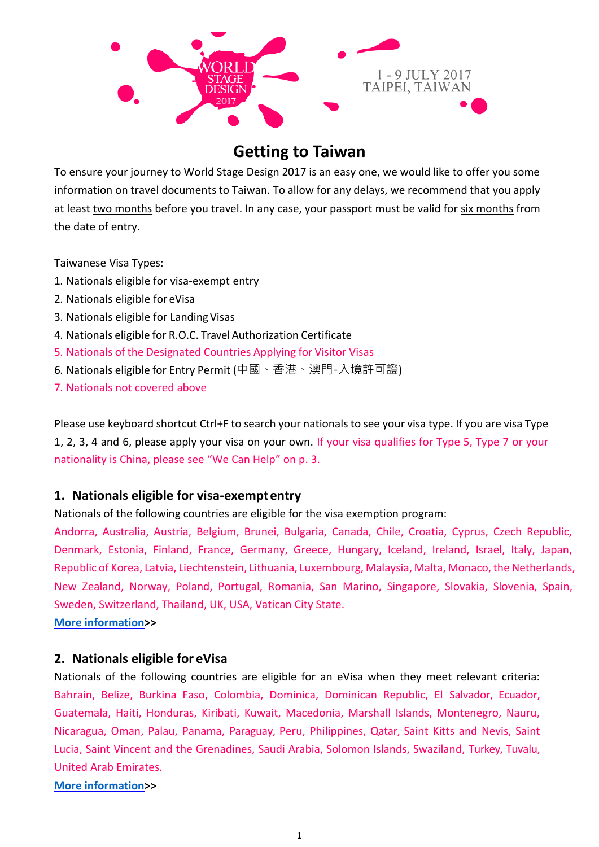

# **Getting to Taiwan**

To ensure your journey to World Stage Design 2017 is an easy one, we would like to offer you some information on travel documents to Taiwan. To allow for any delays, we recommend that you apply at least two months before you travel. In any case, your passport must be valid for six months from the date of entry.

Taiwanese Visa Types:

- 1. Nationals eligible for visa-exempt entry
- 2. Nationals eligible for eVisa
- 3. Nationals eligible for Landing Visas
- 4. Nationals eligible for R.O.C. Travel Authorization Certificate
- 5. Nationals of the Designated Countries Applying for Visitor Visas
- 6. Nationals eligible for Entry Permit (中國、香港、澳門-入境許可證)
- 7. Nationals not covered above

Please use keyboard shortcut Ctrl+F to search your nationals to see your visa type. If you are visa Type 1, 2, 3, 4 and 6, please apply your visa on your own. If your visa qualifies for Type 5, Type 7 or your nationality is China, please see "We Can Help" on p. 3.

### **1. Nationals eligible for visa-exemptentry**

Nationals of the following countries are eligible for the visa exemption program:

Andorra, Australia, Austria, Belgium, Brunei, Bulgaria, Canada, Chile, Croatia, Cyprus, Czech Republic, Denmark, Estonia, Finland, France, Germany, Greece, Hungary, Iceland, Ireland, Israel, Italy, Japan, Republic of Korea, Latvia, Liechtenstein, Lithuania, Luxembourg, Malaysia, Malta, Monaco, the Netherlands, New Zealand, Norway, Poland, Portugal, Romania, San Marino, Singapore, Slovakia, Slovenia, Spain, Sweden, Switzerland, Thailand, UK, USA, Vatican City State.

**[More information>](http://www.boca.gov.tw/content?mp=2&CuItem=1443)>**

### **2. Nationals eligible for eVisa**

Nationals of the following countries are eligible for an eVisa when they meet relevant criteria: Bahrain, Belize, Burkina Faso, Colombia, Dominica, Dominican Republic, El Salvador, Ecuador, Guatemala, Haiti, Honduras, Kiribati, Kuwait, Macedonia, Marshall Islands, Montenegro, Nauru, Nicaragua, Oman, Palau, Panama, Paraguay, Peru, Philippines, Qatar, Saint Kitts and Nevis, Saint Lucia, Saint Vincent and the Grenadines, Saudi Arabia, Solomon Islands, Swaziland, Turkey, Tuvalu, United Arab Emirates.

### **[More information>](http://www.boca.gov.tw/content.asp?mp=2&CuItem=7283)>**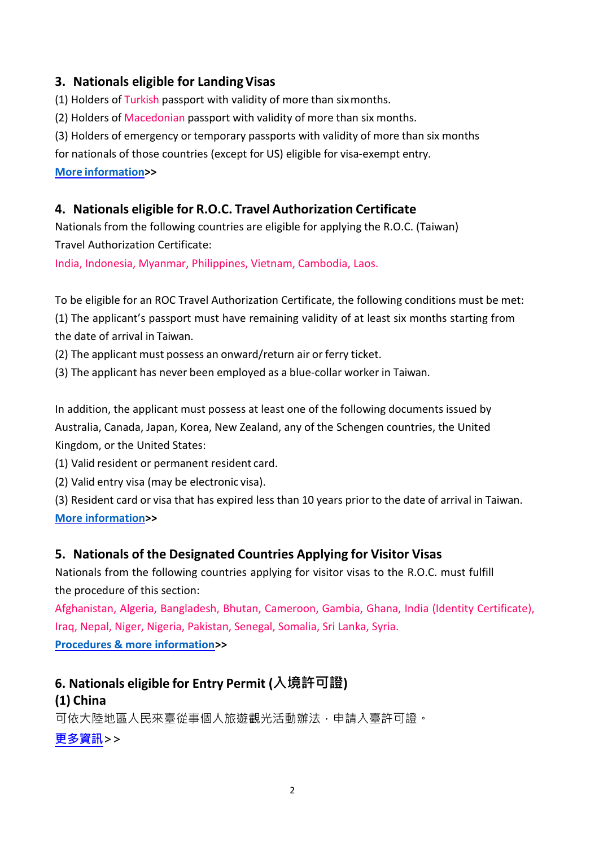# **3. Nationals eligible for LandingVisas**

(1) Holders of Turkish passport with validity of more than sixmonths.

(2) Holders of Macedonian passport with validity of more than six months.

(3) Holders of emergency or temporary passports with validity of more than six months

for nationals of those countries (except for US) eligible for visa-exempt entry.

### **More [information>](http://www.boca.gov.tw/ct.asp?xItem=1446&ctNode=779&mp=2)>**

## **4. Nationals eligible for R.O.C. Travel Authorization Certificate**

Nationals from the following countries are eligible for applying the R.O.C. (Taiwan) Travel Authorization Certificate:

India, Indonesia, Myanmar, Philippines, Vietnam, Cambodia, Laos.

To be eligible for an ROC Travel Authorization Certificate, the following conditions must be met: (1) The applicant's passport must have remaining validity of at least six months starting from the date of arrival in Taiwan.

(2) The applicant must possess an onward/return air or ferry ticket.

(3) The applicant has never been employed as a blue-collar worker in Taiwan.

In addition, the applicant must possess at least one of the following documents issued by Australia, Canada, Japan, Korea, New Zealand, any of the Schengen countries, the United Kingdom, or the United States:

(1) Valid resident or permanent resident card.

(2) Valid entry visa (may be electronic visa).

(3) Resident card or visa that has expired less than 10 years prior to the date of arrival in Taiwan. **[More information>](http://www.boca.gov.tw/ct.asp?xItem=6464&ctNodhttp://www.boca.gov.tw/ct.asp?xItem=6464&ctNode=868&mp=2e=868&mp=2)>**

# **5. Nationals of the Designated Countries Applying for Visitor Visas**

Nationals from the following countries applying for visitor visas to the R.O.C. must fulfill the procedure of this section:

Afghanistan, Algeria, Bangladesh, Bhutan, Cameroon, Gambia, Ghana, India (Identity Certificate), Iraq, Nepal, Niger, Nigeria, Pakistan, Senegal, Somalia, Sri Lanka, Syria. **[Procedures & more information>](http://www.boca.gov.tw/ct.asp?xItem=1836&ctNode=777&mp=2)>**

# **6. Nationals eligible for Entry Permit (入境許可證) (1) China**

可依大陸地區人民來臺從事個人旅遊觀光活動辦法,申請入臺許可證。

**[更多資訊](http://servicestation.immigration.gov.tw/wizards/Q05-06.htm)>>**